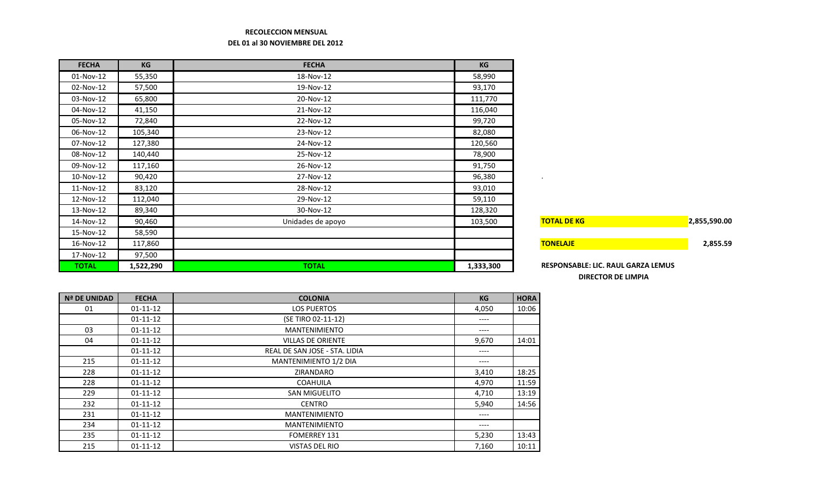## **RECOLECCION MENSUAL DEL 01 al 30 NOVIEMBRE DEL 2012**

| <b>FECHA</b> | KG        | <b>FECHA</b>      | KG        |                                    |              |
|--------------|-----------|-------------------|-----------|------------------------------------|--------------|
| 01-Nov-12    | 55,350    | 18-Nov-12         | 58,990    |                                    |              |
| 02-Nov-12    | 57,500    | 19-Nov-12         | 93,170    |                                    |              |
| 03-Nov-12    | 65,800    | 20-Nov-12         | 111,770   |                                    |              |
| 04-Nov-12    | 41,150    | 21-Nov-12         | 116,040   |                                    |              |
| 05-Nov-12    | 72,840    | 22-Nov-12         | 99,720    |                                    |              |
| 06-Nov-12    | 105,340   | 23-Nov-12         | 82,080    |                                    |              |
| 07-Nov-12    | 127,380   | 24-Nov-12         | 120,560   |                                    |              |
| 08-Nov-12    | 140,440   | 25-Nov-12         | 78,900    |                                    |              |
| 09-Nov-12    | 117,160   | 26-Nov-12         | 91,750    |                                    |              |
| 10-Nov-12    | 90,420    | 27-Nov-12         | 96,380    | $\sim$                             |              |
| 11-Nov-12    | 83,120    | 28-Nov-12         | 93,010    |                                    |              |
| 12-Nov-12    | 112,040   | 29-Nov-12         | 59,110    |                                    |              |
| 13-Nov-12    | 89,340    | 30-Nov-12         | 128,320   |                                    |              |
| 14-Nov-12    | 90,460    | Unidades de apoyo | 103,500   | <b>TOTAL DE KG</b>                 | 2,855,590.00 |
| 15-Nov-12    | 58,590    |                   |           |                                    |              |
| 16-Nov-12    | 117,860   |                   |           | <b>TONELAJE</b>                    | 2,855.59     |
| 17-Nov-12    | 97,500    |                   |           |                                    |              |
| <b>TOTAL</b> | 1,522,290 | <b>TOTAL</b>      | 1,333,300 | RESPONSABLE: LIC. RAUL GARZA LEMUS |              |

| 2,855,590.00 |
|--------------|
| 2,855.59     |
|              |
|              |

**TOTAL 1,522,290 TOTAL 1,333,300 RESPONSABLE: LIC. RAUL GARZA LEMUS DIRECTOR DE LIMPIA**

| <b>Nª DE UNIDAD</b> | <b>FECHA</b>   | <b>COLONIA</b>                | KG    | <b>HORA</b> |
|---------------------|----------------|-------------------------------|-------|-------------|
| 01                  | $01 - 11 - 12$ | <b>LOS PUERTOS</b>            | 4,050 | 10:06       |
|                     | $01 - 11 - 12$ | (SE TIRO 02-11-12)            | ----  |             |
| 03                  | $01 - 11 - 12$ | <b>MANTENIMIENTO</b>          | ----  |             |
| 04                  | $01 - 11 - 12$ | <b>VILLAS DE ORIENTE</b>      | 9,670 | 14:01       |
|                     | $01 - 11 - 12$ | REAL DE SAN JOSE - STA, LIDIA | ----  |             |
| 215                 | $01 - 11 - 12$ | <b>MANTENIMIENTO 1/2 DIA</b>  | ----  |             |
| 228                 | $01 - 11 - 12$ | ZIRANDARO                     | 3,410 | 18:25       |
| 228                 | $01 - 11 - 12$ | <b>COAHUILA</b>               | 4,970 | 11:59       |
| 229                 | $01 - 11 - 12$ | <b>SAN MIGUELITO</b>          | 4,710 | 13:19       |
| 232                 | $01 - 11 - 12$ | <b>CENTRO</b>                 | 5,940 | 14:56       |
| 231                 | $01 - 11 - 12$ | <b>MANTENIMIENTO</b>          | ----  |             |
| 234                 | $01 - 11 - 12$ | <b>MANTENIMIENTO</b>          | ----  |             |
| 235                 | $01 - 11 - 12$ | <b>FOMERREY 131</b>           | 5,230 | 13:43       |
| 215                 | $01 - 11 - 12$ | <b>VISTAS DEL RIO</b>         | 7,160 | 10:11       |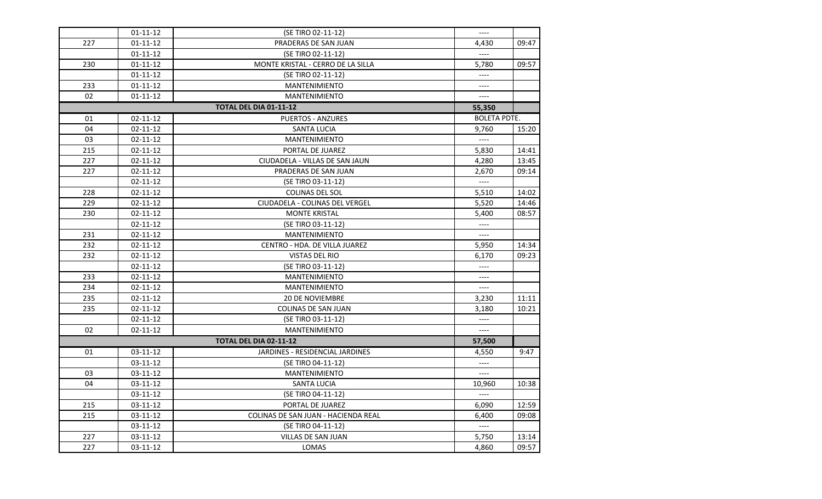|     | $01 - 11 - 12$ | (SE TIRO 02-11-12)                  | $---$               |       |
|-----|----------------|-------------------------------------|---------------------|-------|
| 227 | $01 - 11 - 12$ | PRADERAS DE SAN JUAN                | 4,430               | 09:47 |
|     | $01 - 11 - 12$ | (SE TIRO 02-11-12)                  |                     |       |
| 230 | 01-11-12       | MONTE KRISTAL - CERRO DE LA SILLA   | 5,780               | 09:57 |
|     | $01 - 11 - 12$ | (SE TIRO 02-11-12)                  | $---$               |       |
| 233 | 01-11-12       | MANTENIMIENTO                       | $---$               |       |
| 02  | 01-11-12       | <b>MANTENIMIENTO</b>                | $---$               |       |
|     |                | <b>TOTAL DEL DIA 01-11-12</b>       | 55,350              |       |
| 01  | 02-11-12       | <b>PUERTOS - ANZURES</b>            | <b>BOLETA PDTE.</b> |       |
| 04  | $02 - 11 - 12$ | SANTA LUCIA                         | 9,760               | 15:20 |
| 03  | 02-11-12       | <b>MANTENIMIENTO</b>                | $---$               |       |
| 215 | 02-11-12       | PORTAL DE JUAREZ                    | 5,830               | 14:41 |
| 227 | 02-11-12       | CIUDADELA - VILLAS DE SAN JAUN      | 4,280               | 13:45 |
| 227 | $02 - 11 - 12$ | PRADERAS DE SAN JUAN                | 2,670               | 09:14 |
|     | $02 - 11 - 12$ | (SE TIRO 03-11-12)                  | $---$               |       |
| 228 | $02 - 11 - 12$ | <b>COLINAS DEL SOL</b>              | 5,510               | 14:02 |
| 229 | $02 - 11 - 12$ | CIUDADELA - COLINAS DEL VERGEL      | 5,520               | 14:46 |
| 230 | 02-11-12       | <b>MONTE KRISTAL</b>                | 5,400               | 08:57 |
|     | 02-11-12       | (SE TIRO 03-11-12)                  | $---$               |       |
| 231 | $02 - 11 - 12$ | <b>MANTENIMIENTO</b>                | $---$               |       |
| 232 | 02-11-12       | CENTRO - HDA. DE VILLA JUAREZ       | 5,950               | 14:34 |
| 232 | 02-11-12       | <b>VISTAS DEL RIO</b>               | 6,170               | 09:23 |
|     | $02 - 11 - 12$ | (SE TIRO 03-11-12)                  | $---$               |       |
| 233 | $02 - 11 - 12$ | <b>MANTENIMIENTO</b>                | $---$               |       |
| 234 | $02 - 11 - 12$ | <b>MANTENIMIENTO</b>                | $---$               |       |
| 235 | $02 - 11 - 12$ | <b>20 DE NOVIEMBRE</b>              | 3,230               | 11:11 |
| 235 | $02 - 11 - 12$ | <b>COLINAS DE SAN JUAN</b>          | 3,180               | 10:21 |
|     | $02 - 11 - 12$ | (SE TIRO 03-11-12)                  | $---$               |       |
| 02  | $02 - 11 - 12$ | <b>MANTENIMIENTO</b>                | $---$               |       |
|     |                | TOTAL DEL DIA 02-11-12              | 57,500              |       |
| 01  | 03-11-12       | JARDINES - RESIDENCIAL JARDINES     | 4,550               | 9:47  |
|     | 03-11-12       | (SE TIRO 04-11-12)                  | $---$               |       |
| 03  | 03-11-12       | <b>MANTENIMIENTO</b>                | $---$               |       |
| 04  | 03-11-12       | <b>SANTA LUCIA</b>                  | 10,960              | 10:38 |
|     | 03-11-12       | (SE TIRO 04-11-12)                  | $---$               |       |
| 215 | 03-11-12       | PORTAL DE JUAREZ                    | 6,090               | 12:59 |
| 215 | 03-11-12       | COLINAS DE SAN JUAN - HACIENDA REAL | 6,400               | 09:08 |
|     | 03-11-12       | (SE TIRO 04-11-12)                  | $---$               |       |
| 227 | 03-11-12       | VILLAS DE SAN JUAN                  | 5,750               | 13:14 |
| 227 | 03-11-12       | LOMAS                               | 4,860               | 09:57 |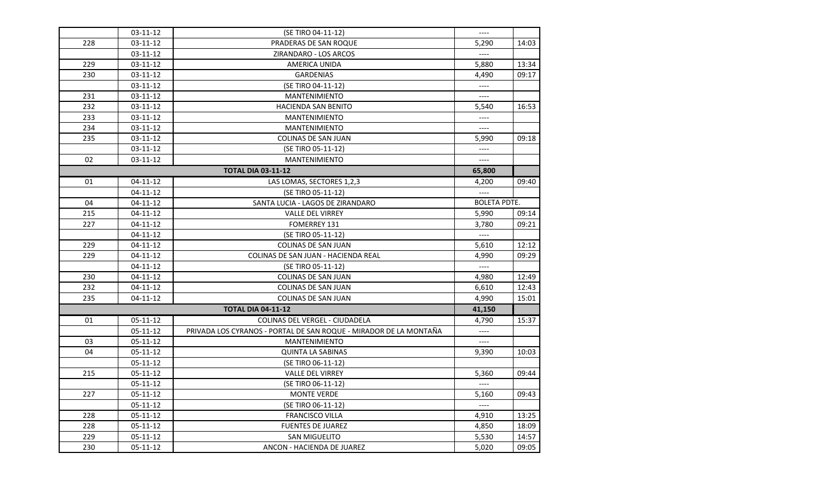|     | 03-11-12             | (SE TIRO 04-11-12)                                                | $---$               |       |
|-----|----------------------|-------------------------------------------------------------------|---------------------|-------|
| 228 | 03-11-12             | PRADERAS DE SAN ROQUE                                             | 5,290               | 14:03 |
|     | 03-11-12             | ZIRANDARO - LOS ARCOS                                             |                     |       |
| 229 | 03-11-12             | AMERICA UNIDA                                                     | 5,880               | 13:34 |
| 230 | 03-11-12             | <b>GARDENIAS</b>                                                  | 4,490               | 09:17 |
|     | 03-11-12             | (SE TIRO 04-11-12)                                                | $---$               |       |
| 231 | 03-11-12             | <b>MANTENIMIENTO</b>                                              | ----                |       |
| 232 |                      | <b>HACIENDA SAN BENITO</b>                                        |                     | 16:53 |
| 233 | 03-11-12<br>03-11-12 | <b>MANTENIMIENTO</b>                                              | 5,540<br>$---$      |       |
| 234 | 03-11-12             | <b>MANTENIMIENTO</b>                                              | ----                |       |
| 235 |                      |                                                                   |                     | 09:18 |
|     | 03-11-12<br>03-11-12 | COLINAS DE SAN JUAN<br>(SE TIRO 05-11-12)                         | 5,990<br>$---$      |       |
| 02  |                      |                                                                   | $---$               |       |
|     | 03-11-12             | <b>MANTENIMIENTO</b>                                              |                     |       |
|     |                      | <b>TOTAL DIA 03-11-12</b>                                         | 65,800              |       |
| 01  | $04 - 11 - 12$       | LAS LOMAS, SECTORES 1,2,3                                         | 4,200               | 09:40 |
|     | 04-11-12             | (SE TIRO 05-11-12)                                                | $---$               |       |
| 04  | 04-11-12             | SANTA LUCIA - LAGOS DE ZIRANDARO                                  | <b>BOLETA PDTE.</b> |       |
| 215 | $04 - 11 - 12$       | <b>VALLE DEL VIRREY</b>                                           | 5,990               | 09:14 |
| 227 | 04-11-12             | <b>FOMERREY 131</b>                                               | 3,780               | 09:21 |
|     | $04 - 11 - 12$       | (SE TIRO 05-11-12)                                                | $---$               |       |
| 229 | 04-11-12             | <b>COLINAS DE SAN JUAN</b>                                        | 5,610               | 12:12 |
| 229 | 04-11-12             | COLINAS DE SAN JUAN - HACIENDA REAL                               | 4,990               | 09:29 |
|     | 04-11-12             | (SE TIRO 05-11-12)                                                | $---$               |       |
| 230 | 04-11-12             | <b>COLINAS DE SAN JUAN</b>                                        | 4,980               | 12:49 |
| 232 | $04 - 11 - 12$       | COLINAS DE SAN JUAN                                               | 6,610               | 12:43 |
| 235 | 04-11-12             | <b>COLINAS DE SAN JUAN</b>                                        | 4,990               | 15:01 |
|     |                      | <b>TOTAL DIA 04-11-12</b>                                         | 41,150              |       |
| 01  | 05-11-12             | COLINAS DEL VERGEL - CIUDADELA                                    | 4,790               | 15:37 |
|     | 05-11-12             | PRIVADA LOS CYRANOS - PORTAL DE SAN ROQUE - MIRADOR DE LA MONTAÑA | $---$               |       |
| 03  | 05-11-12             | <b>MANTENIMIENTO</b>                                              | $---$               |       |
| 04  | 05-11-12             | <b>QUINTA LA SABINAS</b>                                          | 9,390               | 10:03 |
|     | 05-11-12             | (SE TIRO 06-11-12)                                                |                     |       |
| 215 | 05-11-12             | <b>VALLE DEL VIRREY</b>                                           | 5,360               | 09:44 |
|     | 05-11-12             | (SE TIRO 06-11-12)                                                |                     |       |
| 227 | $05 - 11 - 12$       | <b>MONTE VERDE</b>                                                | 5,160               | 09:43 |
|     | 05-11-12             | (SE TIRO 06-11-12)                                                | $---$               |       |
| 228 | $05 - 11 - 12$       | <b>FRANCISCO VILLA</b>                                            | 4,910               | 13:25 |
| 228 | 05-11-12             | <b>FUENTES DE JUAREZ</b>                                          | 4,850               | 18:09 |
| 229 | 05-11-12             | <b>SAN MIGUELITO</b>                                              | 5,530               | 14:57 |
| 230 | 05-11-12             | ANCON - HACIENDA DE JUAREZ                                        | 5,020               | 09:05 |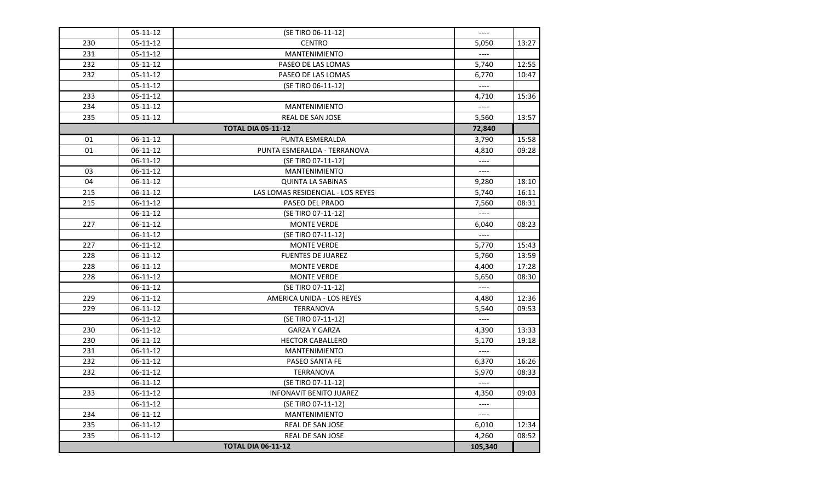|     | $05-11-12$     | (SE TIRO 06-11-12)                | $---$                    |       |
|-----|----------------|-----------------------------------|--------------------------|-------|
| 230 | 05-11-12       | <b>CENTRO</b>                     | 5,050                    | 13:27 |
| 231 | 05-11-12       | <b>MANTENIMIENTO</b>              |                          |       |
| 232 | 05-11-12       | PASEO DE LAS LOMAS                | 5,740                    | 12:55 |
| 232 | $05 - 11 - 12$ | PASEO DE LAS LOMAS                | 6,770                    | 10:47 |
|     | 05-11-12       | (SE TIRO 06-11-12)                | $---$                    |       |
| 233 | 05-11-12       |                                   | 4,710                    | 15:36 |
| 234 | 05-11-12       | <b>MANTENIMIENTO</b>              | $---$                    |       |
| 235 | 05-11-12       | <b>REAL DE SAN JOSE</b>           | 5,560                    | 13:57 |
|     |                | <b>TOTAL DIA 05-11-12</b>         | 72,840                   |       |
| 01  | 06-11-12       | PUNTA ESMERALDA                   | 3,790                    | 15:58 |
| 01  | 06-11-12       | PUNTA ESMERALDA - TERRANOVA       | 4,810                    | 09:28 |
|     | $06-11-12$     | (SE TIRO 07-11-12)                | $---$                    |       |
| 03  | 06-11-12       | <b>MANTENIMIENTO</b>              | $---$                    |       |
| 04  | 06-11-12       | <b>QUINTA LA SABINAS</b>          | 9,280                    | 18:10 |
| 215 | 06-11-12       | LAS LOMAS RESIDENCIAL - LOS REYES | 5,740                    | 16:11 |
| 215 | $06-11-12$     | PASEO DEL PRADO                   | 7,560                    | 08:31 |
|     | 06-11-12       | (SE TIRO 07-11-12)                |                          |       |
| 227 | 06-11-12       | <b>MONTE VERDE</b>                | 6,040                    | 08:23 |
|     | $06-11-12$     | (SE TIRO 07-11-12)                | $\overline{\phantom{a}}$ |       |
| 227 | 06-11-12       | <b>MONTE VERDE</b>                | 5,770                    | 15:43 |
| 228 | 06-11-12       | <b>FUENTES DE JUAREZ</b>          | 5,760                    | 13:59 |
| 228 | 06-11-12       | <b>MONTE VERDE</b>                | 4,400                    | 17:28 |
| 228 | 06-11-12       | <b>MONTE VERDE</b>                | 5,650                    | 08:30 |
|     | 06-11-12       | (SE TIRO 07-11-12)                |                          |       |
| 229 | 06-11-12       | AMERICA UNIDA - LOS REYES         | 4,480                    | 12:36 |
| 229 | 06-11-12       | <b>TERRANOVA</b>                  | 5,540                    | 09:53 |
|     | $06-11-12$     | (SE TIRO 07-11-12)                | $\qquad \qquad - - -$    |       |
| 230 | 06-11-12       | <b>GARZA Y GARZA</b>              | 4,390                    | 13:33 |
| 230 | 06-11-12       | <b>HECTOR CABALLERO</b>           | 5,170                    | 19:18 |
| 231 | 06-11-12       | <b>MANTENIMIENTO</b>              | $---$                    |       |
| 232 | 06-11-12       | <b>PASEO SANTA FE</b>             | 6,370                    | 16:26 |
| 232 | 06-11-12       | TERRANOVA                         | 5,970                    | 08:33 |
|     | 06-11-12       | (SE TIRO 07-11-12)                | $\overline{\phantom{a}}$ |       |
| 233 | $06-11-12$     | <b>INFONAVIT BENITO JUAREZ</b>    | 4,350                    | 09:03 |
|     | 06-11-12       | (SE TIRO 07-11-12)                | $---$                    |       |
| 234 | 06-11-12       | <b>MANTENIMIENTO</b>              | $---$                    |       |
| 235 | 06-11-12       | <b>REAL DE SAN JOSE</b>           | 6,010                    | 12:34 |
| 235 | 06-11-12       | REAL DE SAN JOSE                  | 4,260                    | 08:52 |
|     |                | <b>TOTAL DIA 06-11-12</b>         | 105,340                  |       |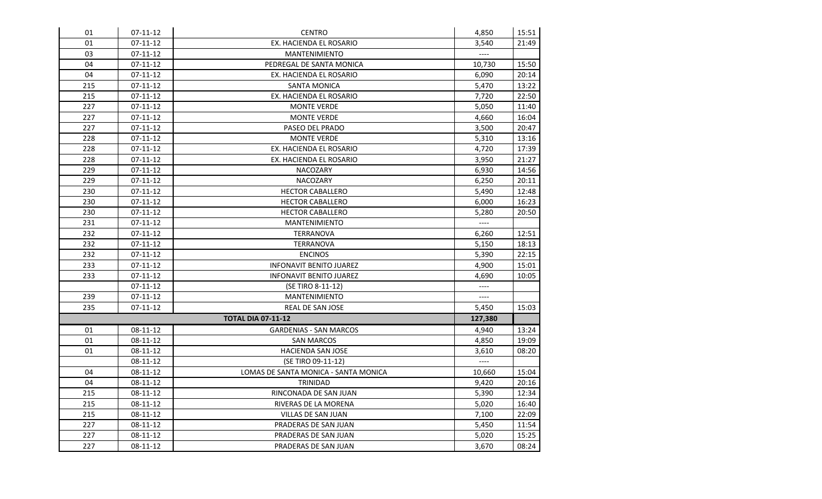| 01  | 07-11-12       | <b>CENTRO</b>                        | 4,850                    | 15:51 |
|-----|----------------|--------------------------------------|--------------------------|-------|
| 01  | $07-11-12$     | EX. HACIENDA EL ROSARIO              | 3.540                    | 21:49 |
| 03  | 07-11-12       | <b>MANTENIMIENTO</b>                 |                          |       |
| 04  | $07 - 11 - 12$ | PEDREGAL DE SANTA MONICA             | 10,730                   | 15:50 |
| 04  | $07 - 11 - 12$ | EX. HACIENDA EL ROSARIO              | 6,090                    | 20:14 |
| 215 | 07-11-12       | <b>SANTA MONICA</b>                  | 5,470                    | 13:22 |
| 215 | 07-11-12       | EX. HACIENDA EL ROSARIO              | 7,720                    | 22:50 |
| 227 | $07 - 11 - 12$ | <b>MONTE VERDE</b>                   | 5,050                    | 11:40 |
| 227 | 07-11-12       | <b>MONTE VERDE</b>                   | 4,660                    | 16:04 |
| 227 | 07-11-12       | PASEO DEL PRADO                      | 3,500                    | 20:47 |
| 228 | 07-11-12       | <b>MONTE VERDE</b>                   | 5,310                    | 13:16 |
| 228 | $07 - 11 - 12$ | EX. HACIENDA EL ROSARIO              | 4,720                    | 17:39 |
| 228 | $07 - 11 - 12$ | EX. HACIENDA EL ROSARIO              | 3,950                    | 21:27 |
| 229 | 07-11-12       | NACOZARY                             | 6,930                    | 14:56 |
| 229 | 07-11-12       | <b>NACOZARY</b>                      | 6,250                    | 20:11 |
| 230 | $07 - 11 - 12$ | <b>HECTOR CABALLERO</b>              | 5,490                    | 12:48 |
| 230 | 07-11-12       | <b>HECTOR CABALLERO</b>              | 6,000                    | 16:23 |
| 230 | 07-11-12       | <b>HECTOR CABALLERO</b>              | 5,280                    | 20:50 |
| 231 | $07-11-12$     | <b>MANTENIMIENTO</b>                 | $\overline{\phantom{a}}$ |       |
| 232 | $07 - 11 - 12$ | <b>TERRANOVA</b>                     | 6,260                    | 12:51 |
| 232 | 07-11-12       | <b>TERRANOVA</b>                     | 5,150                    | 18:13 |
| 232 | $07 - 11 - 12$ | <b>ENCINOS</b>                       | 5,390                    | 22:15 |
| 233 | 07-11-12       | <b>INFONAVIT BENITO JUAREZ</b>       | 4,900                    | 15:01 |
| 233 | $07 - 11 - 12$ | <b>INFONAVIT BENITO JUAREZ</b>       | 4,690                    | 10:05 |
|     | 07-11-12       | (SE TIRO 8-11-12)                    | $---$                    |       |
| 239 | 07-11-12       | <b>MANTENIMIENTO</b>                 | ----                     |       |
| 235 | 07-11-12       | <b>REAL DE SAN JOSE</b>              | 5,450                    | 15:03 |
|     |                | <b>TOTAL DIA 07-11-12</b>            | 127,380                  |       |
| 01  | 08-11-12       | <b>GARDENIAS - SAN MARCOS</b>        | 4,940                    | 13:24 |
| 01  | 08-11-12       | <b>SAN MARCOS</b>                    | 4,850                    | 19:09 |
| 01  | 08-11-12       | HACIENDA SAN JOSE                    | 3,610                    | 08:20 |
|     | 08-11-12       | (SE TIRO 09-11-12)                   | $---$                    |       |
| 04  | 08-11-12       | LOMAS DE SANTA MONICA - SANTA MONICA | 10,660                   | 15:04 |
| 04  | 08-11-12       | <b>TRINIDAD</b>                      | 9,420                    | 20:16 |
| 215 | 08-11-12       | RINCONADA DE SAN JUAN                | 5,390                    | 12:34 |
| 215 | 08-11-12       | RIVERAS DE LA MORENA                 | 5,020                    | 16:40 |
| 215 | 08-11-12       | VILLAS DE SAN JUAN                   | 7,100                    | 22:09 |
| 227 | 08-11-12       | PRADERAS DE SAN JUAN                 | 5,450                    | 11:54 |
| 227 | 08-11-12       | PRADERAS DE SAN JUAN                 | 5,020                    | 15:25 |
| 227 | 08-11-12       | PRADERAS DE SAN JUAN                 | 3,670                    | 08:24 |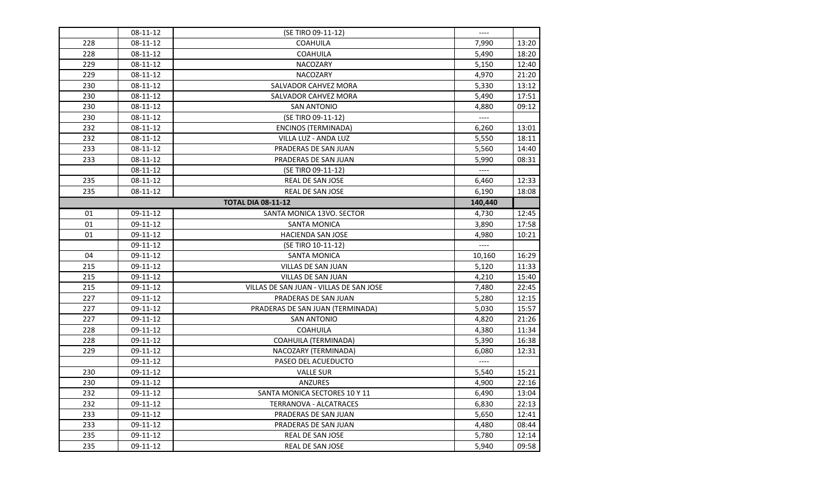|     | 08-11-12 | (SE TIRO 09-11-12)                      | $---$                    |       |
|-----|----------|-----------------------------------------|--------------------------|-------|
| 228 | 08-11-12 | <b>COAHUILA</b>                         | 7,990                    | 13:20 |
| 228 | 08-11-12 | COAHUILA                                | 5,490                    | 18:20 |
| 229 | 08-11-12 | NACOZARY                                | 5,150                    | 12:40 |
| 229 | 08-11-12 | <b>NACOZARY</b>                         | 4,970                    | 21:20 |
| 230 | 08-11-12 | SALVADOR CAHVEZ MORA                    | 5,330                    | 13:12 |
| 230 | 08-11-12 | SALVADOR CAHVEZ MORA                    | 5,490                    | 17:51 |
| 230 | 08-11-12 | <b>SAN ANTONIO</b>                      | 4,880                    | 09:12 |
| 230 | 08-11-12 | (SE TIRO 09-11-12)                      | $\cdots$                 |       |
| 232 | 08-11-12 | <b>ENCINOS (TERMINADA)</b>              | 6,260                    | 13:01 |
| 232 | 08-11-12 | VILLA LUZ - ANDA LUZ                    | 5,550                    | 18:11 |
| 233 | 08-11-12 | PRADERAS DE SAN JUAN                    | 5,560                    | 14:40 |
| 233 | 08-11-12 | PRADERAS DE SAN JUAN                    | 5,990                    | 08:31 |
|     | 08-11-12 | (SE TIRO 09-11-12)                      | $\qquad \qquad - - -$    |       |
| 235 | 08-11-12 | REAL DE SAN JOSE                        | 6,460                    | 12:33 |
| 235 | 08-11-12 | <b>REAL DE SAN JOSE</b>                 | 6,190                    | 18:08 |
|     |          | <b>TOTAL DIA 08-11-12</b>               | 140,440                  |       |
| 01  | 09-11-12 | SANTA MONICA 13VO. SECTOR               | 4,730                    | 12:45 |
| 01  | 09-11-12 | <b>SANTA MONICA</b>                     | 3,890                    | 17:58 |
| 01  | 09-11-12 | <b>HACIENDA SAN JOSE</b>                | 4,980                    | 10:21 |
|     | 09-11-12 | (SE TIRO 10-11-12)                      | $\overline{\phantom{a}}$ |       |
| 04  | 09-11-12 | <b>SANTA MONICA</b>                     | 10,160                   | 16:29 |
| 215 | 09-11-12 | VILLAS DE SAN JUAN                      | 5,120                    | 11:33 |
| 215 | 09-11-12 | VILLAS DE SAN JUAN                      | 4,210                    | 15:40 |
| 215 | 09-11-12 | VILLAS DE SAN JUAN - VILLAS DE SAN JOSE | 7,480                    | 22:45 |
| 227 | 09-11-12 | PRADERAS DE SAN JUAN                    | 5,280                    | 12:15 |
| 227 | 09-11-12 | PRADERAS DE SAN JUAN (TERMINADA)        | 5,030                    | 15:57 |
| 227 | 09-11-12 | <b>SAN ANTONIO</b>                      | 4,820                    | 21:26 |
| 228 | 09-11-12 | <b>COAHUILA</b>                         | 4,380                    | 11:34 |
| 228 | 09-11-12 | COAHUILA (TERMINADA)                    | 5,390                    | 16:38 |
| 229 | 09-11-12 | NACOZARY (TERMINADA)                    | 6,080                    | 12:31 |
|     | 09-11-12 | PASEO DEL ACUEDUCTO                     | $---$                    |       |
| 230 | 09-11-12 | <b>VALLE SUR</b>                        | 5,540                    | 15:21 |
| 230 | 09-11-12 | <b>ANZURES</b>                          | 4,900                    | 22:16 |
| 232 | 09-11-12 | SANTA MONICA SECTORES 10 Y 11           | 6,490                    | 13:04 |
| 232 | 09-11-12 | <b>TERRANOVA - ALCATRACES</b>           | 6,830                    | 22:13 |
| 233 | 09-11-12 | PRADERAS DE SAN JUAN                    | 5,650                    | 12:41 |
| 233 | 09-11-12 | PRADERAS DE SAN JUAN                    | 4,480                    | 08:44 |
| 235 | 09-11-12 | REAL DE SAN JOSE                        | 5,780                    | 12:14 |
| 235 | 09-11-12 | <b>REAL DE SAN JOSE</b>                 | 5,940                    | 09:58 |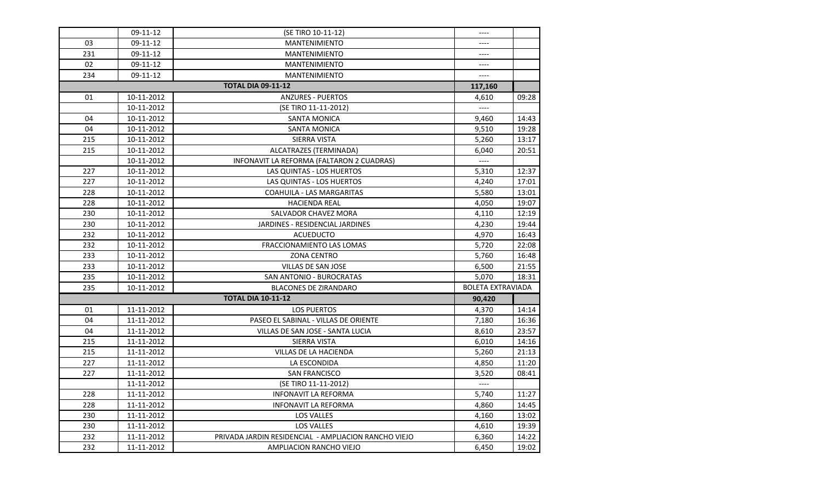|     | 09-11-12   | (SE TIRO 10-11-12)                                   | ----                     |       |
|-----|------------|------------------------------------------------------|--------------------------|-------|
| 03  | 09-11-12   | <b>MANTENIMIENTO</b>                                 |                          |       |
| 231 | 09-11-12   | <b>MANTENIMIENTO</b>                                 | $---$                    |       |
| 02  | 09-11-12   | <b>MANTENIMIENTO</b>                                 |                          |       |
| 234 | 09-11-12   | <b>MANTENIMIENTO</b>                                 | $---$                    |       |
|     |            | <b>TOTAL DIA 09-11-12</b>                            | 117,160                  |       |
| 01  | 10-11-2012 | <b>ANZURES - PUERTOS</b>                             | 4,610                    | 09:28 |
|     | 10-11-2012 | (SE TIRO 11-11-2012)                                 | $---$                    |       |
| 04  | 10-11-2012 | <b>SANTA MONICA</b>                                  | 9,460                    | 14:43 |
| 04  | 10-11-2012 | <b>SANTA MONICA</b>                                  | 9,510                    | 19:28 |
| 215 | 10-11-2012 | SIERRA VISTA                                         | 5,260                    | 13:17 |
| 215 | 10-11-2012 | ALCATRAZES (TERMINADA)                               | 6,040                    | 20:51 |
|     | 10-11-2012 | INFONAVIT LA REFORMA (FALTARON 2 CUADRAS)            | $\overline{\phantom{a}}$ |       |
| 227 | 10-11-2012 | <b>LAS QUINTAS - LOS HUERTOS</b>                     | 5,310                    | 12:37 |
| 227 | 10-11-2012 | <b>LAS QUINTAS - LOS HUERTOS</b>                     | 4,240                    | 17:01 |
| 228 | 10-11-2012 | COAHUILA - LAS MARGARITAS                            | 5,580                    | 13:01 |
| 228 | 10-11-2012 | <b>HACIENDA REAL</b>                                 | 4,050                    | 19:07 |
| 230 | 10-11-2012 | SALVADOR CHAVEZ MORA                                 | 4,110                    | 12:19 |
| 230 | 10-11-2012 | JARDINES - RESIDENCIAL JARDINES                      | 4,230                    | 19:44 |
| 232 | 10-11-2012 | <b>ACUEDUCTO</b>                                     | 4,970                    | 16:43 |
| 232 | 10-11-2012 | FRACCIONAMIENTO LAS LOMAS                            | 5,720                    | 22:08 |
| 233 | 10-11-2012 | <b>ZONA CENTRO</b>                                   | 5,760                    | 16:48 |
| 233 | 10-11-2012 | VILLAS DE SAN JOSE                                   | 6,500                    | 21:55 |
| 235 | 10-11-2012 | <b>SAN ANTONIO - BUROCRATAS</b>                      | 5,070                    | 18:31 |
| 235 | 10-11-2012 | <b>BLACONES DE ZIRANDARO</b>                         | <b>BOLETA EXTRAVIADA</b> |       |
|     |            | <b>TOTAL DIA 10-11-12</b>                            | 90,420                   |       |
| 01  | 11-11-2012 | <b>LOS PUERTOS</b>                                   | 4,370                    | 14:14 |
| 04  | 11-11-2012 | PASEO EL SABINAL - VILLAS DE ORIENTE                 | 7,180                    | 16:36 |
| 04  | 11-11-2012 | VILLAS DE SAN JOSE - SANTA LUCIA                     | 8,610                    | 23:57 |
| 215 | 11-11-2012 | <b>SIERRA VISTA</b>                                  | 6,010                    | 14:16 |
| 215 | 11-11-2012 | VILLAS DE LA HACIENDA                                | 5,260                    | 21:13 |
| 227 | 11-11-2012 | LA ESCONDIDA                                         | 4,850                    | 11:20 |
| 227 | 11-11-2012 | <b>SAN FRANCISCO</b>                                 | 3,520                    | 08:41 |
|     | 11-11-2012 | (SE TIRO 11-11-2012)                                 | $\overline{\phantom{a}}$ |       |
| 228 | 11-11-2012 | <b>INFONAVIT LA REFORMA</b>                          | 5,740                    | 11:27 |
| 228 | 11-11-2012 | <b>INFONAVIT LA REFORMA</b>                          | 4,860                    | 14:45 |
| 230 | 11-11-2012 | LOS VALLES                                           | 4,160                    | 13:02 |
| 230 | 11-11-2012 | LOS VALLES                                           | 4,610                    | 19:39 |
| 232 | 11-11-2012 | PRIVADA JARDIN RESIDENCIAL - AMPLIACION RANCHO VIEJO | 6,360                    | 14:22 |
| 232 | 11-11-2012 | AMPLIACION RANCHO VIEJO                              | 6,450                    | 19:02 |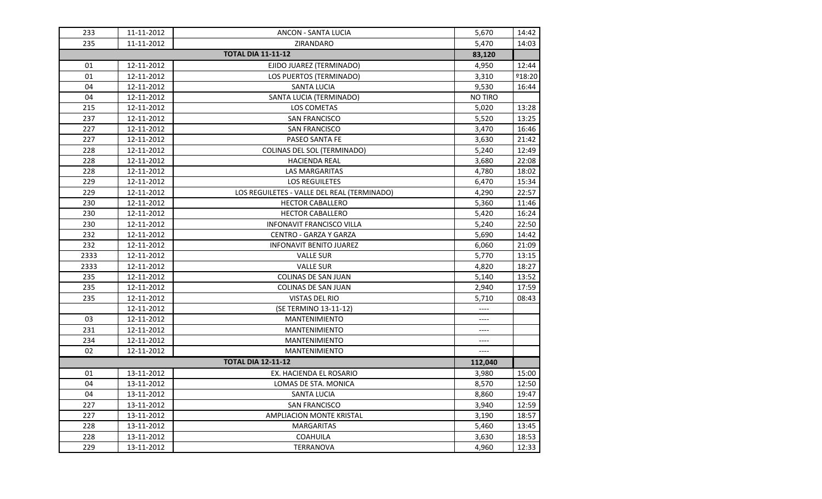| 233  | 11-11-2012 | ANCON - SANTA LUCIA                         | 5,670          | 14:42         |
|------|------------|---------------------------------------------|----------------|---------------|
| 235  | 11-11-2012 | ZIRANDARO                                   | 5,470          | 14:03         |
|      |            | <b>TOTAL DIA 11-11-12</b>                   | 83,120         |               |
| 01   | 12-11-2012 | EJIDO JUAREZ (TERMINADO)                    | 4,950          | 12:44         |
| 01   | 12-11-2012 | LOS PUERTOS (TERMINADO)                     | 3,310          | <b>218:20</b> |
| 04   | 12-11-2012 | <b>SANTA LUCIA</b>                          | 9,530          | 16:44         |
| 04   | 12-11-2012 | SANTA LUCIA (TERMINADO)                     | <b>NO TIRO</b> |               |
| 215  | 12-11-2012 | LOS COMETAS                                 | 5,020          | 13:28         |
| 237  | 12-11-2012 | <b>SAN FRANCISCO</b>                        | 5,520          | 13:25         |
| 227  | 12-11-2012 | <b>SAN FRANCISCO</b>                        | 3,470          | 16:46         |
| 227  | 12-11-2012 | PASEO SANTA FE                              | 3,630          | 21:42         |
| 228  | 12-11-2012 | COLINAS DEL SOL (TERMINADO)                 | 5,240          | 12:49         |
| 228  | 12-11-2012 | <b>HACIENDA REAL</b>                        | 3,680          | 22:08         |
| 228  | 12-11-2012 | LAS MARGARITAS                              | 4,780          | 18:02         |
| 229  | 12-11-2012 | LOS REGUILETES                              | 6,470          | 15:34         |
| 229  | 12-11-2012 | LOS REGUILETES - VALLE DEL REAL (TERMINADO) | 4,290          | 22:57         |
| 230  | 12-11-2012 | <b>HECTOR CABALLERO</b>                     | 5,360          | 11:46         |
| 230  | 12-11-2012 | <b>HECTOR CABALLERO</b>                     | 5,420          | 16:24         |
| 230  | 12-11-2012 | <b>INFONAVIT FRANCISCO VILLA</b>            | 5,240          | 22:50         |
| 232  | 12-11-2012 | <b>CENTRO - GARZA Y GARZA</b>               | 5,690          | 14:42         |
| 232  | 12-11-2012 | <b>INFONAVIT BENITO JUAREZ</b>              | 6,060          | 21:09         |
| 2333 | 12-11-2012 | <b>VALLE SUR</b>                            | 5,770          | 13:15         |
| 2333 | 12-11-2012 | <b>VALLE SUR</b>                            | 4,820          | 18:27         |
| 235  | 12-11-2012 | <b>COLINAS DE SAN JUAN</b>                  | 5,140          | 13:52         |
| 235  | 12-11-2012 | <b>COLINAS DE SAN JUAN</b>                  | 2,940          | 17:59         |
| 235  | 12-11-2012 | VISTAS DEL RIO                              | 5,710          | 08:43         |
|      | 12-11-2012 | (SE TERMINO 13-11-12)                       | $---$          |               |
| 03   | 12-11-2012 | <b>MANTENIMIENTO</b>                        | ----           |               |
| 231  | 12-11-2012 | <b>MANTENIMIENTO</b>                        | ----           |               |
| 234  | 12-11-2012 | <b>MANTENIMIENTO</b>                        | ----           |               |
| 02   | 12-11-2012 | <b>MANTENIMIENTO</b>                        | $---$          |               |
|      |            | <b>TOTAL DIA 12-11-12</b>                   | 112,040        |               |
| 01   | 13-11-2012 | EX. HACIENDA EL ROSARIO                     | 3,980          | 15:00         |
| 04   | 13-11-2012 | LOMAS DE STA. MONICA                        | 8,570          | 12:50         |
| 04   | 13-11-2012 | <b>SANTA LUCIA</b>                          | 8,860          | 19:47         |
| 227  | 13-11-2012 | <b>SAN FRANCISCO</b>                        | 3,940          | 12:59         |
| 227  | 13-11-2012 | <b>AMPLIACION MONTE KRISTAL</b>             | 3,190          | 18:57         |
| 228  | 13-11-2012 | <b>MARGARITAS</b>                           | 5,460          | 13:45         |
| 228  | 13-11-2012 | <b>COAHUILA</b>                             | 3,630          | 18:53         |
| 229  | 13-11-2012 | <b>TERRANOVA</b>                            | 4,960          | 12:33         |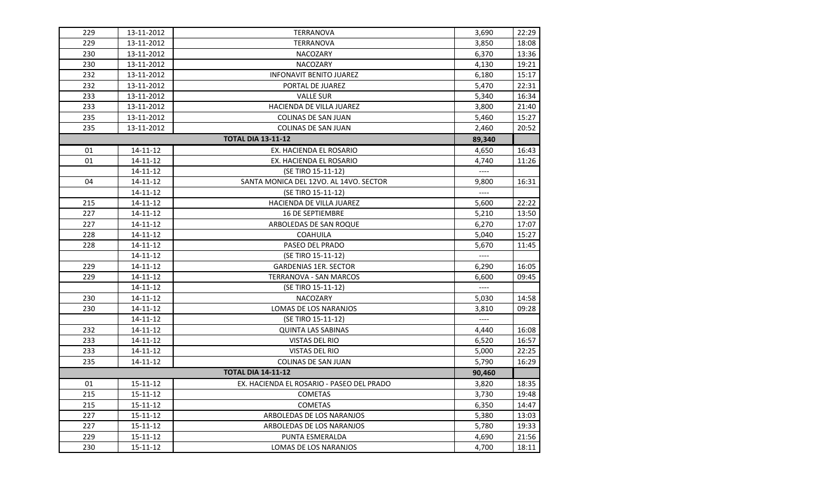| 229 | 13-11-2012     | <b>TERRANOVA</b>                          | 3,690                    | 22:29 |
|-----|----------------|-------------------------------------------|--------------------------|-------|
| 229 | 13-11-2012     | <b>TERRANOVA</b>                          | 3,850                    | 18:08 |
| 230 | 13-11-2012     | <b>NACOZARY</b>                           | 6,370                    | 13:36 |
| 230 | 13-11-2012     | NACOZARY                                  | 4,130                    | 19:21 |
| 232 | 13-11-2012     | <b>INFONAVIT BENITO JUAREZ</b>            | 6,180                    | 15:17 |
| 232 | 13-11-2012     | PORTAL DE JUAREZ                          | 5,470                    | 22:31 |
| 233 | 13-11-2012     | <b>VALLE SUR</b>                          | 5,340                    | 16:34 |
| 233 | 13-11-2012     | HACIENDA DE VILLA JUAREZ                  | 3,800                    | 21:40 |
| 235 | 13-11-2012     | COLINAS DE SAN JUAN                       | 5,460                    | 15:27 |
| 235 | 13-11-2012     | <b>COLINAS DE SAN JUAN</b>                | 2,460                    | 20:52 |
|     |                | <b>TOTAL DIA 13-11-12</b>                 | 89,340                   |       |
| 01  | 14-11-12       | EX. HACIENDA EL ROSARIO                   | 4,650                    | 16:43 |
| 01  | 14-11-12       | EX. HACIENDA EL ROSARIO                   | 4,740                    | 11:26 |
|     | 14-11-12       | (SE TIRO 15-11-12)                        | $\overline{\phantom{a}}$ |       |
| 04  | 14-11-12       | SANTA MONICA DEL 12VO. AL 14VO. SECTOR    | 9,800                    | 16:31 |
|     | 14-11-12       | (SE TIRO 15-11-12)                        | $---$                    |       |
| 215 | 14-11-12       | HACIENDA DE VILLA JUAREZ                  | 5,600                    | 22:22 |
| 227 | 14-11-12       | <b>16 DE SEPTIEMBRE</b>                   | 5,210                    | 13:50 |
| 227 | 14-11-12       | ARBOLEDAS DE SAN ROQUE                    | 6,270                    | 17:07 |
| 228 | 14-11-12       | <b>COAHUILA</b>                           | 5,040                    | 15:27 |
| 228 | 14-11-12       | <b>PASEO DEL PRADO</b>                    | 5,670                    | 11:45 |
|     | 14-11-12       | (SE TIRO 15-11-12)                        | $---$                    |       |
| 229 | 14-11-12       | <b>GARDENIAS 1ER. SECTOR</b>              | 6,290                    | 16:05 |
| 229 | 14-11-12       | <b>TERRANOVA - SAN MARCOS</b>             | 6,600                    | 09:45 |
|     | 14-11-12       | (SE TIRO 15-11-12)                        |                          |       |
| 230 | 14-11-12       | <b>NACOZARY</b>                           | 5,030                    | 14:58 |
| 230 | 14-11-12       | LOMAS DE LOS NARANJOS                     | 3,810                    | 09:28 |
|     | 14-11-12       | (SE TIRO 15-11-12)                        | $\cdots$                 |       |
| 232 | 14-11-12       | <b>QUINTA LAS SABINAS</b>                 | 4,440                    | 16:08 |
| 233 | $14 - 11 - 12$ | VISTAS DEL RIO                            | 6,520                    | 16:57 |
| 233 | 14-11-12       | <b>VISTAS DEL RIO</b>                     | 5,000                    | 22:25 |
| 235 | 14-11-12       | COLINAS DE SAN JUAN                       | 5,790                    | 16:29 |
|     |                | <b>TOTAL DIA 14-11-12</b>                 | 90,460                   |       |
| 01  | 15-11-12       | EX. HACIENDA EL ROSARIO - PASEO DEL PRADO | 3,820                    | 18:35 |
| 215 | 15-11-12       | <b>COMETAS</b>                            | 3,730                    | 19:48 |
| 215 | 15-11-12       | <b>COMETAS</b>                            | 6,350                    | 14:47 |
| 227 | 15-11-12       | ARBOLEDAS DE LOS NARANJOS                 | 5,380                    | 13:03 |
| 227 | 15-11-12       | ARBOLEDAS DE LOS NARANJOS                 | 5,780                    | 19:33 |
| 229 | 15-11-12       | PUNTA ESMERALDA                           | 4,690                    | 21:56 |
| 230 | $15 - 11 - 12$ | LOMAS DE LOS NARANJOS                     | 4,700                    | 18:11 |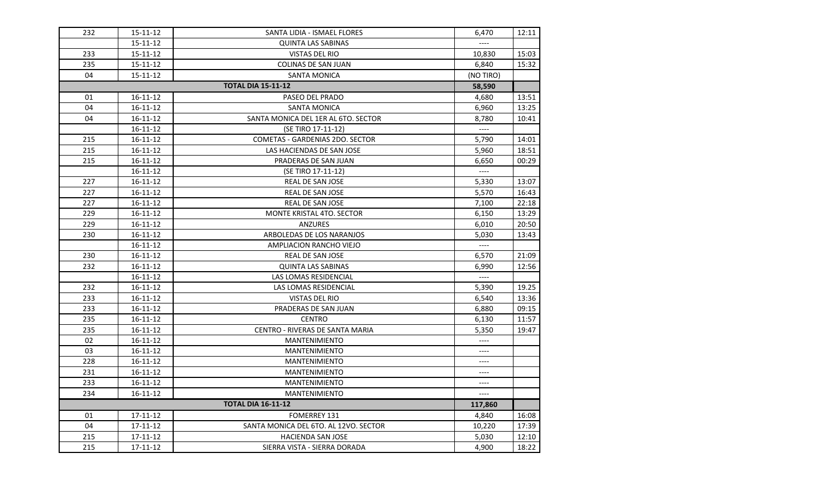| 232 | 15-11-12       | SANTA LIDIA - ISMAEL FLORES            | 6,470                    | 12:11 |
|-----|----------------|----------------------------------------|--------------------------|-------|
|     | 15-11-12       | <b>QUINTA LAS SABINAS</b>              |                          |       |
| 233 | 15-11-12       | <b>VISTAS DEL RIO</b>                  | 10,830                   | 15:03 |
| 235 | $15 - 11 - 12$ | <b>COLINAS DE SAN JUAN</b>             | 6,840                    | 15:32 |
| 04  | $15 - 11 - 12$ | <b>SANTA MONICA</b>                    | (NO TIRO)                |       |
|     |                | <b>TOTAL DIA 15-11-12</b>              | 58,590                   |       |
| 01  | 16-11-12       | PASEO DEL PRADO                        | 4,680                    | 13:51 |
| 04  | 16-11-12       | <b>SANTA MONICA</b>                    | 6,960                    | 13:25 |
| 04  | 16-11-12       | SANTA MONICA DEL 1ER AL 6TO. SECTOR    | 8,780                    | 10:41 |
|     | 16-11-12       | (SE TIRO 17-11-12)                     | $---$                    |       |
| 215 | 16-11-12       | <b>COMETAS - GARDENIAS 2DO. SECTOR</b> | 5,790                    | 14:01 |
| 215 | 16-11-12       | LAS HACIENDAS DE SAN JOSE              | 5,960                    | 18:51 |
| 215 | 16-11-12       | PRADERAS DE SAN JUAN                   | 6,650                    | 00:29 |
|     | $16 - 11 - 12$ | (SE TIRO 17-11-12)                     | $---$                    |       |
| 227 | 16-11-12       | <b>REAL DE SAN JOSE</b>                | 5,330                    | 13:07 |
| 227 | 16-11-12       | REAL DE SAN JOSE                       | 5,570                    | 16:43 |
| 227 | $16 - 11 - 12$ | REAL DE SAN JOSE                       | 7,100                    | 22:18 |
| 229 | 16-11-12       | MONTE KRISTAL 4TO. SECTOR              | 6,150                    | 13:29 |
| 229 | 16-11-12       | <b>ANZURES</b>                         | 6,010                    | 20:50 |
| 230 | 16-11-12       | ARBOLEDAS DE LOS NARANJOS              | 5,030                    | 13:43 |
|     | 16-11-12       | AMPLIACION RANCHO VIEJO                | $---$                    |       |
| 230 | 16-11-12       | REAL DE SAN JOSE                       | 6,570                    | 21:09 |
| 232 | $16 - 11 - 12$ | <b>QUINTA LAS SABINAS</b>              | 6,990                    | 12:56 |
|     | $16 - 11 - 12$ | LAS LOMAS RESIDENCIAL                  | $\overline{\phantom{a}}$ |       |
| 232 | $16 - 11 - 12$ | LAS LOMAS RESIDENCIAL                  | 5,390                    | 19.25 |
| 233 | $16 - 11 - 12$ | <b>VISTAS DEL RIO</b>                  | 6,540                    | 13:36 |
| 233 | $16 - 11 - 12$ | PRADERAS DE SAN JUAN                   | 6,880                    | 09:15 |
| 235 | 16-11-12       | <b>CENTRO</b>                          | 6,130                    | 11:57 |
| 235 | 16-11-12       | CENTRO - RIVERAS DE SANTA MARIA        | 5,350                    | 19:47 |
| 02  | 16-11-12       | MANTENIMIENTO                          | $---$                    |       |
| 03  | 16-11-12       | <b>MANTENIMIENTO</b>                   | $---$                    |       |
| 228 | $16 - 11 - 12$ | <b>MANTENIMIENTO</b>                   | $---$                    |       |
| 231 | $16 - 11 - 12$ | <b>MANTENIMIENTO</b>                   | ----                     |       |
| 233 | $16 - 11 - 12$ | <b>MANTENIMIENTO</b>                   | $---$                    |       |
| 234 | $16 - 11 - 12$ | <b>MANTENIMIENTO</b>                   | ----                     |       |
|     |                | <b>TOTAL DIA 16-11-12</b>              | 117,860                  |       |
| 01  | 17-11-12       | <b>FOMERREY 131</b>                    | 4,840                    | 16:08 |
| 04  | 17-11-12       | SANTA MONICA DEL 6TO. AL 12VO. SECTOR  | 10,220                   | 17:39 |
| 215 | 17-11-12       | <b>HACIENDA SAN JOSE</b>               | 5,030                    | 12:10 |
| 215 | 17-11-12       | SIERRA VISTA - SIERRA DORADA           | 4,900                    | 18:22 |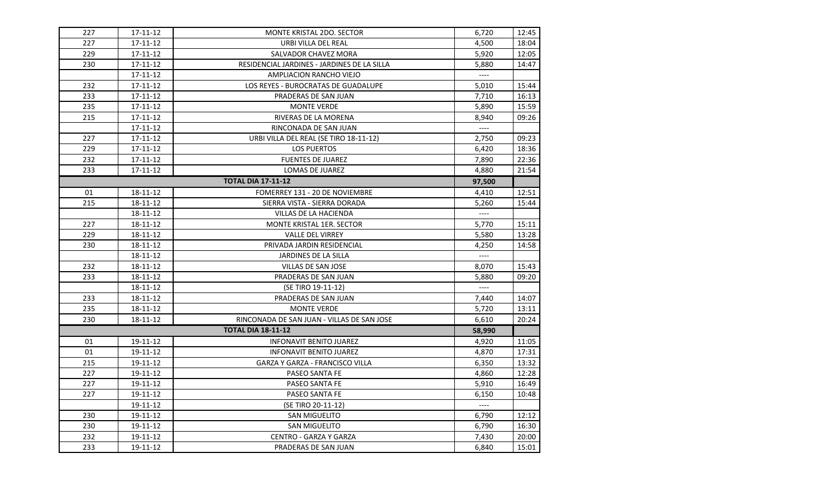| 227 | 17-11-12 | MONTE KRISTAL 2DO. SECTOR                   | 6,720                    | 12:45 |
|-----|----------|---------------------------------------------|--------------------------|-------|
| 227 | 17-11-12 | URBI VILLA DEL REAL                         | 4,500                    | 18:04 |
| 229 | 17-11-12 | SALVADOR CHAVEZ MORA                        | 5,920                    | 12:05 |
| 230 | 17-11-12 | RESIDENCIAL JARDINES - JARDINES DE LA SILLA | 5,880                    | 14:47 |
|     | 17-11-12 | AMPLIACION RANCHO VIEJO                     | $\overline{\phantom{a}}$ |       |
| 232 | 17-11-12 | LOS REYES - BUROCRATAS DE GUADALUPE         | 5,010                    | 15:44 |
| 233 | 17-11-12 | PRADERAS DE SAN JUAN                        | 7,710                    | 16:13 |
| 235 | 17-11-12 | <b>MONTE VERDE</b>                          | 5,890                    | 15:59 |
| 215 | 17-11-12 | RIVERAS DE LA MORENA                        | 8,940                    | 09:26 |
|     | 17-11-12 | RINCONADA DE SAN JUAN                       | $---$                    |       |
| 227 | 17-11-12 | URBI VILLA DEL REAL (SE TIRO 18-11-12)      | 2,750                    | 09:23 |
| 229 | 17-11-12 | <b>LOS PUERTOS</b>                          | 6,420                    | 18:36 |
| 232 | 17-11-12 | <b>FUENTES DE JUAREZ</b>                    | 7,890                    | 22:36 |
| 233 | 17-11-12 | LOMAS DE JUAREZ                             | 4,880                    | 21:54 |
|     |          | <b>TOTAL DIA 17-11-12</b>                   | 97,500                   |       |
| 01  | 18-11-12 | FOMERREY 131 - 20 DE NOVIEMBRE              | 4,410                    | 12:51 |
| 215 | 18-11-12 | SIERRA VISTA - SIERRA DORADA                | 5,260                    | 15:44 |
|     | 18-11-12 | VILLAS DE LA HACIENDA                       | $---$                    |       |
| 227 | 18-11-12 | <b>MONTE KRISTAL 1ER. SECTOR</b>            | 5,770                    | 15:11 |
| 229 | 18-11-12 | <b>VALLE DEL VIRREY</b>                     | 5,580                    | 13:28 |
| 230 | 18-11-12 | PRIVADA JARDIN RESIDENCIAL                  | 4,250                    | 14:58 |
|     | 18-11-12 | JARDINES DE LA SILLA                        | $\qquad \qquad - - -$    |       |
| 232 | 18-11-12 | VILLAS DE SAN JOSE                          | 8,070                    | 15:43 |
| 233 | 18-11-12 | PRADERAS DE SAN JUAN                        | 5,880                    | 09:20 |
|     | 18-11-12 | (SE TIRO 19-11-12)                          | $\overline{\phantom{a}}$ |       |
| 233 | 18-11-12 | PRADERAS DE SAN JUAN                        | 7,440                    | 14:07 |
| 235 | 18-11-12 | <b>MONTE VERDE</b>                          | 5,720                    | 13:11 |
| 230 | 18-11-12 | RINCONADA DE SAN JUAN - VILLAS DE SAN JOSE  | 6,610                    | 20:24 |
|     |          | <b>TOTAL DIA 18-11-12</b>                   | 58,990                   |       |
| 01  | 19-11-12 | <b>INFONAVIT BENITO JUAREZ</b>              | 4,920                    | 11:05 |
| 01  | 19-11-12 | <b>INFONAVIT BENITO JUAREZ</b>              | 4,870                    | 17:31 |
| 215 | 19-11-12 | GARZA Y GARZA - FRANCISCO VILLA             | 6,350                    | 13:32 |
| 227 | 19-11-12 | PASEO SANTA FE                              | 4,860                    | 12:28 |
| 227 | 19-11-12 | PASEO SANTA FE                              | 5,910                    | 16:49 |
| 227 | 19-11-12 | PASEO SANTA FE                              | 6,150                    | 10:48 |
|     | 19-11-12 | (SE TIRO 20-11-12)                          | $\cdots$                 |       |
| 230 | 19-11-12 | <b>SAN MIGUELITO</b>                        | 6,790                    | 12:12 |
| 230 | 19-11-12 | <b>SAN MIGUELITO</b>                        | 6,790                    | 16:30 |
| 232 | 19-11-12 | <b>CENTRO - GARZA Y GARZA</b>               | 7,430                    | 20:00 |
| 233 | 19-11-12 | PRADERAS DE SAN JUAN                        | 6,840                    | 15:01 |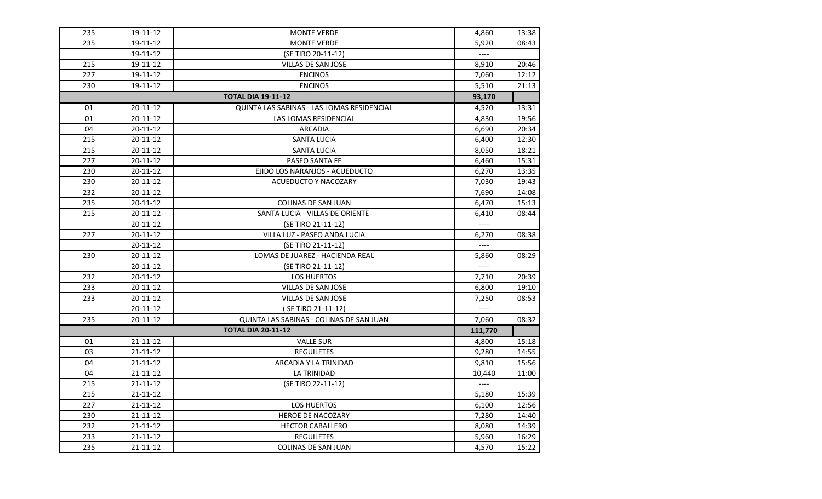| 235 | 19-11-12       | <b>MONTE VERDE</b>                         | 4,860                    | 13:38 |
|-----|----------------|--------------------------------------------|--------------------------|-------|
| 235 | 19-11-12       | <b>MONTE VERDE</b>                         | 5,920                    | 08:43 |
|     | 19-11-12       | (SE TIRO 20-11-12)                         | $---$                    |       |
| 215 | 19-11-12       | VILLAS DE SAN JOSE                         | 8,910                    | 20:46 |
| 227 | 19-11-12       | <b>ENCINOS</b>                             | 7,060                    | 12:12 |
| 230 | 19-11-12       | <b>ENCINOS</b>                             | 5,510                    | 21:13 |
|     |                | <b>TOTAL DIA 19-11-12</b>                  | 93,170                   |       |
| 01  | 20-11-12       | QUINTA LAS SABINAS - LAS LOMAS RESIDENCIAL | 4,520                    | 13:31 |
| 01  | 20-11-12       | LAS LOMAS RESIDENCIAL                      | 4,830                    | 19:56 |
| 04  | 20-11-12       | <b>ARCADIA</b>                             | 6,690                    | 20:34 |
| 215 | 20-11-12       | <b>SANTA LUCIA</b>                         | 6,400                    | 12:30 |
| 215 | 20-11-12       | <b>SANTA LUCIA</b>                         | 8,050                    | 18:21 |
| 227 | 20-11-12       | PASEO SANTA FE                             | 6,460                    | 15:31 |
| 230 | 20-11-12       | EJIDO LOS NARANJOS - ACUEDUCTO             | 6,270                    | 13:35 |
| 230 | 20-11-12       | ACUEDUCTO Y NACOZARY                       | 7,030                    | 19:43 |
| 232 | 20-11-12       |                                            | 7,690                    | 14:08 |
| 235 | 20-11-12       | <b>COLINAS DE SAN JUAN</b>                 | 6,470                    | 15:13 |
| 215 | 20-11-12       | SANTA LUCIA - VILLAS DE ORIENTE            | 6,410                    | 08:44 |
|     | 20-11-12       | (SE TIRO 21-11-12)                         | $\overline{\phantom{a}}$ |       |
| 227 | 20-11-12       | VILLA LUZ - PASEO ANDA LUCIA               | 6,270                    | 08:38 |
|     | 20-11-12       | (SE TIRO 21-11-12)                         |                          |       |
| 230 | 20-11-12       | LOMAS DE JUAREZ - HACIENDA REAL            | 5,860                    | 08:29 |
|     | 20-11-12       | (SE TIRO 21-11-12)                         | $---$                    |       |
| 232 | 20-11-12       | <b>LOS HUERTOS</b>                         | 7,710                    | 20:39 |
| 233 | 20-11-12       | VILLAS DE SAN JOSE                         | 6,800                    | 19:10 |
| 233 | 20-11-12       | VILLAS DE SAN JOSE                         | 7,250                    | 08:53 |
|     | 20-11-12       | (SE TIRO 21-11-12)                         | $---$                    |       |
| 235 | 20-11-12       | QUINTA LAS SABINAS - COLINAS DE SAN JUAN   | 7,060                    | 08:32 |
|     |                | <b>TOTAL DIA 20-11-12</b>                  | 111,770                  |       |
| 01  | $21 - 11 - 12$ | <b>VALLE SUR</b>                           | 4,800                    | 15:18 |
| 03  | 21-11-12       | <b>REGUILETES</b>                          | 9,280                    | 14:55 |
| 04  | 21-11-12       | ARCADIA Y LA TRINIDAD                      | 9,810                    | 15:56 |
| 04  | 21-11-12       | LA TRINIDAD                                | 10,440                   | 11:00 |
| 215 | 21-11-12       | (SE TIRO 22-11-12)                         |                          |       |
| 215 | $21 - 11 - 12$ |                                            | 5,180                    | 15:39 |
| 227 | $21 - 11 - 12$ | <b>LOS HUERTOS</b>                         | 6,100                    | 12:56 |
| 230 | $21 - 11 - 12$ | HEROE DE NACOZARY                          | 7,280                    | 14:40 |
| 232 | 21-11-12       | <b>HECTOR CABALLERO</b>                    | 8,080                    | 14:39 |
| 233 | 21-11-12       | <b>REGUILETES</b>                          | 5,960                    | 16:29 |
| 235 | 21-11-12       | <b>COLINAS DE SAN JUAN</b>                 | 4,570                    | 15:22 |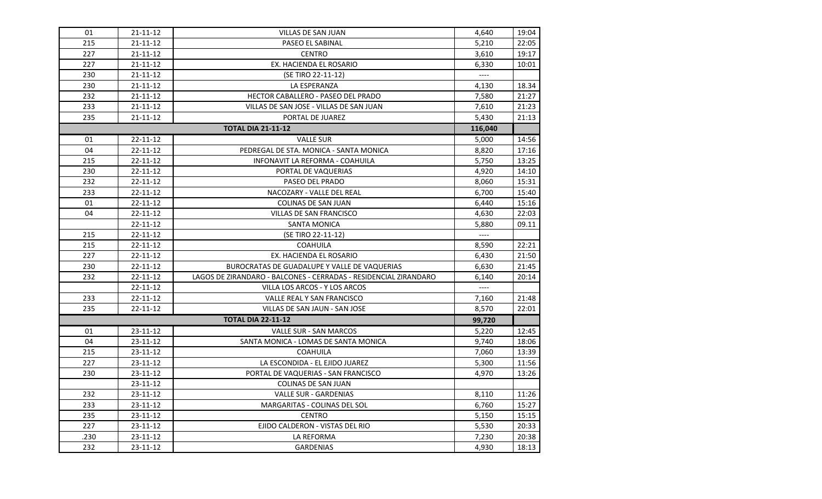| 01   | $21 - 11 - 12$ | VILLAS DE SAN JUAN                                               | 4,640                    | 19:04 |
|------|----------------|------------------------------------------------------------------|--------------------------|-------|
| 215  | 21-11-12       | PASEO EL SABINAL                                                 | 5,210                    | 22:05 |
| 227  | 21-11-12       | <b>CENTRO</b>                                                    | 3,610                    | 19:17 |
| 227  | 21-11-12       | EX. HACIENDA EL ROSARIO                                          | 6,330                    | 10:01 |
| 230  | $21 - 11 - 12$ | (SE TIRO 22-11-12)                                               | $---$                    |       |
| 230  | $21 - 11 - 12$ | LA ESPERANZA                                                     | 4,130                    | 18.34 |
| 232  | $21 - 11 - 12$ | <b>HECTOR CABALLERO - PASEO DEL PRADO</b>                        | 7,580                    | 21:27 |
| 233  | 21-11-12       | VILLAS DE SAN JOSE - VILLAS DE SAN JUAN                          | 7,610                    | 21:23 |
| 235  | 21-11-12       | PORTAL DE JUAREZ                                                 | 5,430                    | 21:13 |
|      |                | <b>TOTAL DIA 21-11-12</b>                                        | 116,040                  |       |
| 01   | 22-11-12       | <b>VALLE SUR</b>                                                 | 5,000                    | 14:56 |
| 04   | 22-11-12       | PEDREGAL DE STA. MONICA - SANTA MONICA                           | 8,820                    | 17:16 |
| 215  | 22-11-12       | INFONAVIT LA REFORMA - COAHUILA                                  | 5,750                    | 13:25 |
| 230  | 22-11-12       | PORTAL DE VAQUERIAS                                              | 4,920                    | 14:10 |
| 232  | 22-11-12       | PASEO DEL PRADO                                                  | 8,060                    | 15:31 |
| 233  | 22-11-12       | NACOZARY - VALLE DEL REAL                                        | 6,700                    | 15:40 |
| 01   | 22-11-12       | <b>COLINAS DE SAN JUAN</b>                                       | 6,440                    | 15:16 |
| 04   | 22-11-12       | <b>VILLAS DE SAN FRANCISCO</b>                                   | 4,630                    | 22:03 |
|      | 22-11-12       | SANTA MONICA                                                     | 5,880                    | 09.11 |
| 215  | 22-11-12       | (SE TIRO 22-11-12)                                               | $\overline{\phantom{a}}$ |       |
| 215  | 22-11-12       | <b>COAHUILA</b>                                                  | 8,590                    | 22:21 |
| 227  | 22-11-12       | EX. HACIENDA EL ROSARIO                                          | 6,430                    | 21:50 |
| 230  | 22-11-12       | BUROCRATAS DE GUADALUPE Y VALLE DE VAQUERIAS                     | 6,630                    | 21:45 |
| 232  | 22-11-12       | LAGOS DE ZIRANDARO - BALCONES - CERRADAS - RESIDENCIAL ZIRANDARO | 6,140                    | 20:14 |
|      | 22-11-12       | VILLA LOS ARCOS - Y LOS ARCOS                                    | $---$                    |       |
| 233  | 22-11-12       | VALLE REAL Y SAN FRANCISCO                                       | 7,160                    | 21:48 |
| 235  | 22-11-12       | VILLAS DE SAN JAUN - SAN JOSE                                    | 8,570                    | 22:01 |
|      |                | <b>TOTAL DIA 22-11-12</b>                                        | 99,720                   |       |
| 01   | 23-11-12       | VALLE SUR - SAN MARCOS                                           | 5,220                    | 12:45 |
| 04   | 23-11-12       | SANTA MONICA - LOMAS DE SANTA MONICA                             | 9,740                    | 18:06 |
| 215  | 23-11-12       | <b>COAHUILA</b>                                                  | 7,060                    | 13:39 |
| 227  | 23-11-12       | LA ESCONDIDA - EL EJIDO JUAREZ                                   | 5,300                    | 11:56 |
| 230  | 23-11-12       | PORTAL DE VAQUERIAS - SAN FRANCISCO                              | 4,970                    | 13:26 |
|      | 23-11-12       | COLINAS DE SAN JUAN                                              |                          |       |
| 232  | $23 - 11 - 12$ | <b>VALLE SUR - GARDENIAS</b>                                     | 8,110                    | 11:26 |
| 233  | 23-11-12       | MARGARITAS - COLINAS DEL SOL                                     | 6,760                    | 15:27 |
| 235  | 23-11-12       | <b>CENTRO</b>                                                    | 5,150                    | 15:15 |
| 227  | 23-11-12       | EJIDO CALDERON - VISTAS DEL RIO                                  | 5,530                    | 20:33 |
| .230 | 23-11-12       | LA REFORMA                                                       | 7,230                    | 20:38 |
| 232  | 23-11-12       | <b>GARDENIAS</b>                                                 | 4,930                    | 18:13 |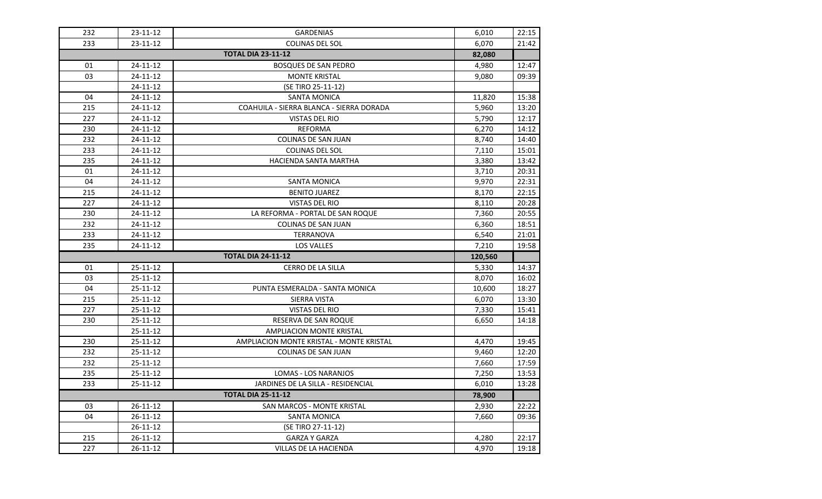| 232 | 23-11-12       | <b>GARDENIAS</b>                         | 6,010   | 22:15 |
|-----|----------------|------------------------------------------|---------|-------|
| 233 | 23-11-12       | COLINAS DEL SOL                          | 6,070   | 21:42 |
|     |                | <b>TOTAL DIA 23-11-12</b>                | 82,080  |       |
| 01  | 24-11-12       | <b>BOSQUES DE SAN PEDRO</b>              | 4,980   | 12:47 |
| 03  | 24-11-12       | <b>MONTE KRISTAL</b>                     | 9,080   | 09:39 |
|     | $24 - 11 - 12$ | (SE TIRO 25-11-12)                       |         |       |
| 04  | 24-11-12       | <b>SANTA MONICA</b>                      | 11,820  | 15:38 |
| 215 | 24-11-12       | COAHUILA - SIERRA BLANCA - SIERRA DORADA | 5,960   | 13:20 |
| 227 | 24-11-12       | <b>VISTAS DEL RIO</b>                    | 5,790   | 12:17 |
| 230 | 24-11-12       | <b>REFORMA</b>                           | 6,270   | 14:12 |
| 232 | 24-11-12       | COLINAS DE SAN JUAN                      | 8,740   | 14:40 |
| 233 | 24-11-12       | COLINAS DEL SOL                          | 7,110   | 15:01 |
| 235 | 24-11-12       | HACIENDA SANTA MARTHA                    | 3,380   | 13:42 |
| 01  | 24-11-12       |                                          | 3,710   | 20:31 |
| 04  | 24-11-12       | SANTA MONICA                             | 9,970   | 22:31 |
| 215 | 24-11-12       | <b>BENITO JUAREZ</b>                     | 8,170   | 22:15 |
| 227 | 24-11-12       | <b>VISTAS DEL RIO</b>                    | 8,110   | 20:28 |
| 230 | 24-11-12       | LA REFORMA - PORTAL DE SAN ROQUE         | 7,360   | 20:55 |
| 232 | 24-11-12       | COLINAS DE SAN JUAN                      | 6,360   | 18:51 |
| 233 | 24-11-12       | <b>TERRANOVA</b>                         | 6,540   | 21:01 |
|     |                |                                          |         |       |
| 235 | 24-11-12       | <b>LOS VALLES</b>                        | 7,210   | 19:58 |
|     |                | <b>TOTAL DIA 24-11-12</b>                | 120,560 |       |
| 01  | 25-11-12       | CERRO DE LA SILLA                        | 5,330   | 14:37 |
| 03  | 25-11-12       |                                          | 8,070   | 16:02 |
| 04  | 25-11-12       | PUNTA ESMERALDA - SANTA MONICA           | 10,600  | 18:27 |
| 215 | 25-11-12       | SIERRA VISTA                             | 6,070   | 13:30 |
| 227 | 25-11-12       | <b>VISTAS DEL RIO</b>                    | 7,330   | 15:41 |
| 230 | 25-11-12       | RESERVA DE SAN ROQUE                     | 6,650   | 14:18 |
|     | 25-11-12       | <b>AMPLIACION MONTE KRISTAL</b>          |         |       |
| 230 | $25 - 11 - 12$ | AMPLIACION MONTE KRISTAL - MONTE KRISTAL | 4,470   | 19:45 |
| 232 | 25-11-12       | COLINAS DE SAN JUAN                      | 9,460   | 12:20 |
| 232 | $25 - 11 - 12$ |                                          | 7,660   | 17:59 |
| 235 | 25-11-12       | <b>LOMAS - LOS NARANJOS</b>              | 7,250   | 13:53 |
| 233 | 25-11-12       | JARDINES DE LA SILLA - RESIDENCIAL       | 6,010   | 13:28 |
|     |                | <b>TOTAL DIA 25-11-12</b>                | 78,900  |       |
| 03  | 26-11-12       | SAN MARCOS - MONTE KRISTAL               | 2,930   | 22:22 |
| 04  | $26 - 11 - 12$ | SANTA MONICA                             | 7,660   | 09:36 |
|     | 26-11-12       | (SE TIRO 27-11-12)                       |         |       |
| 215 | 26-11-12       | <b>GARZA Y GARZA</b>                     | 4,280   | 22:17 |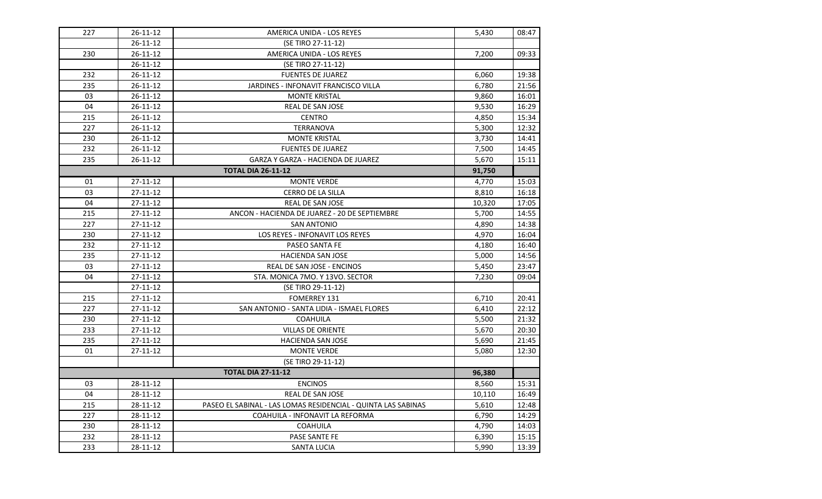| 227 | 26-11-12       | AMERICA UNIDA - LOS REYES                                     | 5,430  | 08:47 |
|-----|----------------|---------------------------------------------------------------|--------|-------|
|     | $26 - 11 - 12$ | (SE TIRO 27-11-12)                                            |        |       |
| 230 | 26-11-12       | AMERICA UNIDA - LOS REYES                                     | 7,200  | 09:33 |
|     | 26-11-12       | (SE TIRO 27-11-12)                                            |        |       |
| 232 | $26 - 11 - 12$ | <b>FUENTES DE JUAREZ</b>                                      | 6,060  | 19:38 |
| 235 | $26 - 11 - 12$ | <b>JARDINES - INFONAVIT FRANCISCO VILLA</b>                   | 6,780  | 21:56 |
| 03  | 26-11-12       | <b>MONTE KRISTAL</b>                                          | 9,860  | 16:01 |
| 04  | 26-11-12       | REAL DE SAN JOSE                                              | 9,530  | 16:29 |
| 215 | 26-11-12       | <b>CENTRO</b>                                                 | 4,850  | 15:34 |
| 227 | 26-11-12       | <b>TERRANOVA</b>                                              | 5,300  | 12:32 |
| 230 | $26 - 11 - 12$ | <b>MONTE KRISTAL</b>                                          | 3,730  | 14:41 |
| 232 | $26 - 11 - 12$ | <b>FUENTES DE JUAREZ</b>                                      | 7,500  | 14:45 |
| 235 | 26-11-12       | <b>GARZA Y GARZA - HACIENDA DE JUAREZ</b>                     | 5,670  | 15:11 |
|     |                | <b>TOTAL DIA 26-11-12</b>                                     | 91,750 |       |
| 01  | 27-11-12       | <b>MONTE VERDE</b>                                            | 4,770  | 15:03 |
| 03  | 27-11-12       | <b>CERRO DE LA SILLA</b>                                      | 8,810  | 16:18 |
| 04  | 27-11-12       | REAL DE SAN JOSE                                              | 10,320 | 17:05 |
| 215 | $27 - 11 - 12$ | ANCON - HACIENDA DE JUAREZ - 20 DE SEPTIEMBRE                 | 5,700  | 14:55 |
| 227 | $27 - 11 - 12$ | <b>SAN ANTONIO</b>                                            | 4,890  | 14:38 |
| 230 | $27 - 11 - 12$ | LOS REYES - INFONAVIT LOS REYES                               | 4,970  | 16:04 |
| 232 | 27-11-12       | PASEO SANTA FE                                                | 4,180  | 16:40 |
| 235 | 27-11-12       | <b>HACIENDA SAN JOSE</b>                                      | 5,000  | 14:56 |
| 03  | 27-11-12       | REAL DE SAN JOSE - ENCINOS                                    | 5,450  | 23:47 |
| 04  | 27-11-12       | STA. MONICA 7MO. Y 13VO. SECTOR                               | 7,230  | 09:04 |
|     | $27 - 11 - 12$ | (SE TIRO 29-11-12)                                            |        |       |
| 215 | 27-11-12       | FOMERREY 131                                                  | 6,710  | 20:41 |
| 227 | 27-11-12       | SAN ANTONIO - SANTA LIDIA - ISMAEL FLORES                     | 6,410  | 22:12 |
| 230 | 27-11-12       | <b>COAHUILA</b>                                               | 5,500  | 21:32 |
| 233 | 27-11-12       | VILLAS DE ORIENTE                                             | 5,670  | 20:30 |
| 235 | $27 - 11 - 12$ | HACIENDA SAN JOSE                                             | 5,690  | 21:45 |
| 01  | 27-11-12       | <b>MONTE VERDE</b>                                            | 5,080  | 12:30 |
|     |                | (SE TIRO 29-11-12)                                            |        |       |
|     |                | <b>TOTAL DIA 27-11-12</b>                                     | 96,380 |       |
| 03  | 28-11-12       | <b>ENCINOS</b>                                                | 8,560  | 15:31 |
| 04  | 28-11-12       | <b>REAL DE SAN JOSE</b>                                       | 10,110 | 16:49 |
| 215 | 28-11-12       | PASEO EL SABINAL - LAS LOMAS RESIDENCIAL - QUINTA LAS SABINAS | 5,610  | 12:48 |
| 227 | 28-11-12       | COAHUILA - INFONAVIT LA REFORMA                               | 6,790  | 14:29 |
| 230 | 28-11-12       | <b>COAHUILA</b>                                               | 4,790  | 14:03 |
| 232 | 28-11-12       | PASE SANTE FE                                                 | 6,390  | 15:15 |
| 233 | 28-11-12       | <b>SANTA LUCIA</b>                                            | 5,990  | 13:39 |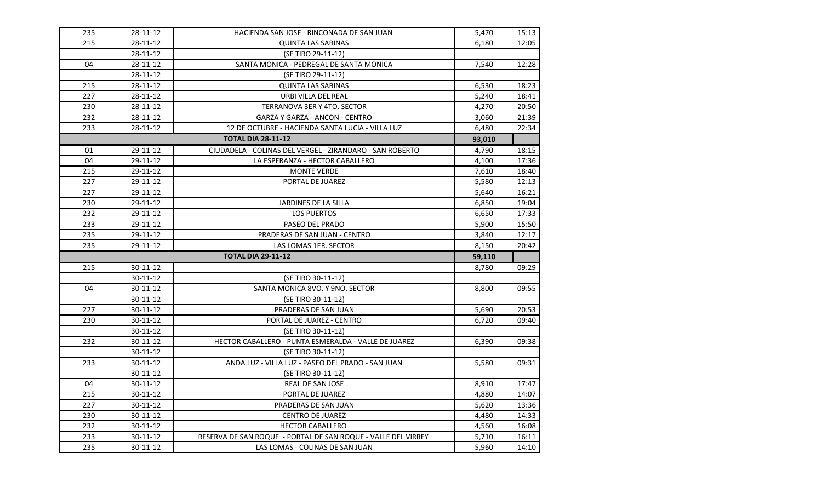| 235 | 28-11-12       | HACIENDA SAN JOSE - RINCONADA DE SAN JUAN                     | 5,470  | 15:13 |
|-----|----------------|---------------------------------------------------------------|--------|-------|
| 215 | 28-11-12       | <b>QUINTA LAS SABINAS</b>                                     | 6,180  | 12:05 |
|     | 28-11-12       | (SE TIRO 29-11-12)                                            |        |       |
| 04  | 28-11-12       | SANTA MONICA - PEDREGAL DE SANTA MONICA                       | 7,540  | 12:28 |
|     | 28-11-12       | (SE TIRO 29-11-12)                                            |        |       |
| 215 | 28-11-12       | <b>QUINTA LAS SABINAS</b>                                     | 6,530  | 18:23 |
| 227 | 28-11-12       | URBI VILLA DEL REAL                                           | 5,240  | 18:41 |
| 230 | 28-11-12       | TERRANOVA 3ER Y 4TO. SECTOR                                   | 4,270  | 20:50 |
| 232 | 28-11-12       | <b>GARZA Y GARZA - ANCON - CENTRO</b>                         | 3,060  | 21:39 |
| 233 | 28-11-12       | 12 DE OCTUBRE - HACIENDA SANTA LUCIA - VILLA LUZ              | 6,480  | 22:34 |
|     |                | <b>TOTAL DIA 28-11-12</b>                                     | 93,010 |       |
| 01  | 29-11-12       | CIUDADELA - COLINAS DEL VERGEL - ZIRANDARO - SAN ROBERTO      | 4,790  | 18:15 |
| 04  | 29-11-12       | LA ESPERANZA - HECTOR CABALLERO                               | 4,100  | 17:36 |
| 215 | 29-11-12       | <b>MONTE VERDE</b>                                            | 7,610  | 18:40 |
| 227 | 29-11-12       | PORTAL DE JUAREZ                                              | 5,580  | 12:13 |
| 227 | 29-11-12       |                                                               | 5,640  | 16:21 |
| 230 | 29-11-12       | JARDINES DE LA SILLA                                          | 6,850  | 19:04 |
| 232 | 29-11-12       | LOS PUERTOS                                                   | 6,650  | 17:33 |
| 233 | 29-11-12       | PASEO DEL PRADO                                               | 5,900  | 15:50 |
| 235 | 29-11-12       | PRADERAS DE SAN JUAN - CENTRO                                 | 3,840  | 12:17 |
| 235 | 29-11-12       | LAS LOMAS 1ER. SECTOR                                         | 8,150  | 20:42 |
|     |                | <b>TOTAL DIA 29-11-12</b>                                     | 59,110 |       |
| 215 | 30-11-12       |                                                               | 8,780  | 09:29 |
|     | 30-11-12       | (SE TIRO 30-11-12)                                            |        |       |
| 04  | 30-11-12       | SANTA MONICA 8VO. Y 9NO. SECTOR                               | 8,800  | 09:55 |
|     | 30-11-12       | (SE TIRO 30-11-12)                                            |        |       |
| 227 | 30-11-12       | PRADERAS DE SAN JUAN                                          | 5,690  | 20:53 |
| 230 | 30-11-12       | PORTAL DE JUAREZ - CENTRO                                     | 6,720  | 09:40 |
|     | 30-11-12       | (SE TIRO 30-11-12)                                            |        |       |
| 232 | 30-11-12       | HECTOR CABALLERO - PUNTA ESMERALDA - VALLE DE JUAREZ          | 6,390  | 09:38 |
|     | 30-11-12       | (SE TIRO 30-11-12)                                            |        |       |
| 233 | $30 - 11 - 12$ | ANDA LUZ - VILLA LUZ - PASEO DEL PRADO - SAN JUAN             | 5,580  | 09:31 |
|     | 30-11-12       | (SE TIRO 30-11-12)                                            |        |       |
| 04  | $30 - 11 - 12$ | REAL DE SAN JOSE                                              | 8,910  | 17:47 |
| 215 | 30-11-12       | PORTAL DE JUAREZ                                              | 4,880  | 14:07 |
| 227 | 30-11-12       | PRADERAS DE SAN JUAN                                          | 5,620  | 13:36 |
| 230 | 30-11-12       | <b>CENTRO DE JUAREZ</b>                                       | 4,480  | 14:33 |
| 232 | 30-11-12       | <b>HECTOR CABALLERO</b>                                       | 4,560  | 16:08 |
| 233 | 30-11-12       | RESERVA DE SAN ROQUE - PORTAL DE SAN ROQUE - VALLE DEL VIRREY | 5,710  | 16:11 |
| 235 | 30-11-12       | LAS LOMAS - COLINAS DE SAN JUAN                               | 5,960  | 14:10 |